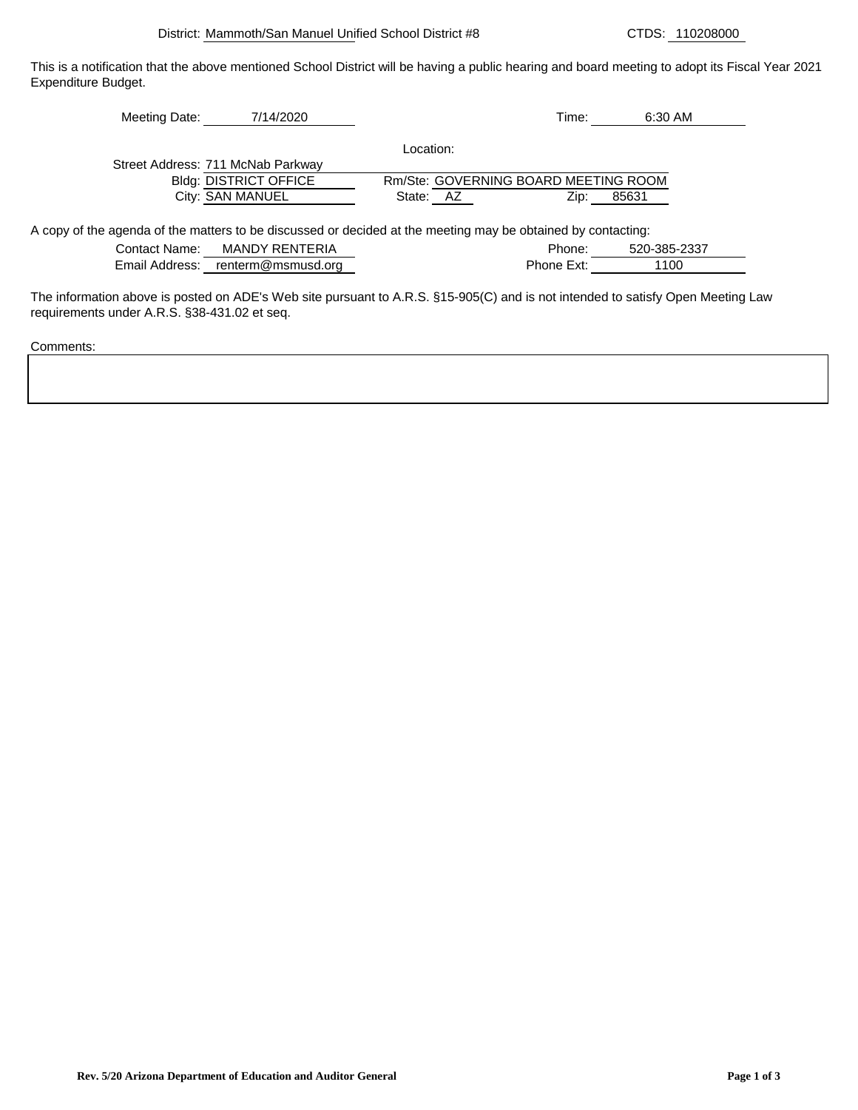This is a notification that the above mentioned School District will be having a public hearing and board meeting to adopt its Fiscal Year 2021 Expenditure Budget.

| Meeting Date:                     | 7/14/2020                    |           | Time:                                | 6:30 AM |
|-----------------------------------|------------------------------|-----------|--------------------------------------|---------|
|                                   |                              | Location: |                                      |         |
| Street Address: 711 McNab Parkway |                              |           |                                      |         |
|                                   | <b>Bldg: DISTRICT OFFICE</b> |           | Rm/Ste: GOVERNING BOARD MEETING ROOM |         |
|                                   | City: SAN MANUEL             | State: AZ | Zip:                                 | 85631   |

A copy of the agenda of the matters to be discussed or decided at the meeting may be obtained by contacting:

| Contact Name:  | MANDY RENTERIA     | Phone:     | 520-385-2337 |
|----------------|--------------------|------------|--------------|
| Email Address: | renterm@msmusd.org | Phone Ext: | l 100        |

The information above is posted on ADE's Web site pursuant to A.R.S. §15-905(C) and is not intended to satisfy Open Meeting Law requirements under A.R.S. §38-431.02 et seq.

Comments: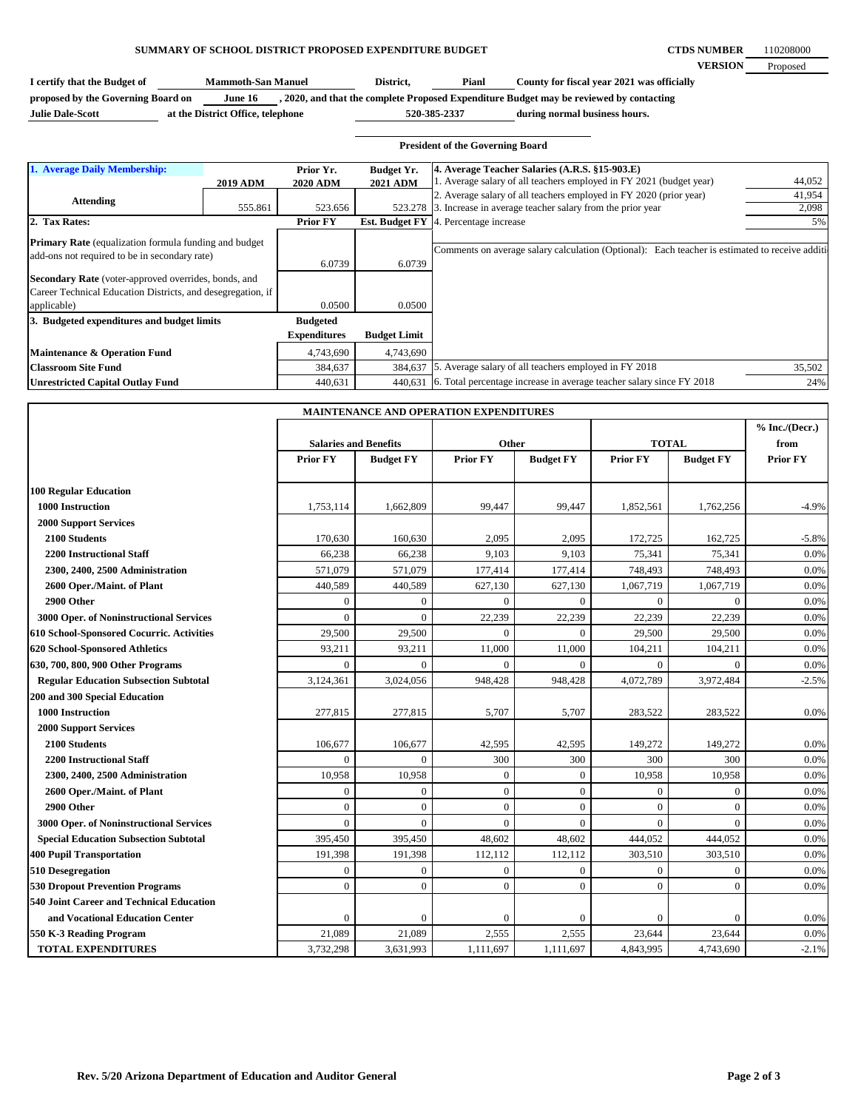**CTDS NUMBER VERSION** 110208000 Proposed

**I certify that the Budget of Mammoth-San Manuel District, Pianl County for fiscal year 2021 was officially proposed by the Governing Board on June 16 , 2020, and that the complete Proposed Expenditure Budget may be reviewed by contacting Mammoth-San Manuel Pianl**

**Julie Dale-Scott at the District Office, telephone**

**during normal business hours. 520-385-2337**

|                                                                                                                |                 |                 |                     | <b>President of the Governing Board</b>                                                       |        |
|----------------------------------------------------------------------------------------------------------------|-----------------|-----------------|---------------------|-----------------------------------------------------------------------------------------------|--------|
| 1. Average Daily Membership:                                                                                   |                 | Prior Yr.       | Budget Yr.          | 4. Average Teacher Salaries (A.R.S. §15-903.E)                                                |        |
|                                                                                                                | <b>2019 ADM</b> | <b>2020 ADM</b> | <b>2021 ADM</b>     | 1. Average salary of all teachers employed in FY 2021 (budget year)                           | 44,052 |
| Attending                                                                                                      |                 |                 |                     | 2. Average salary of all teachers employed in FY 2020 (prior year)                            | 41,954 |
|                                                                                                                | 555.861         | 523.656         |                     | 523.278 3. Increase in average teacher salary from the prior year                             | 2,098  |
| 2. Tax Rates:                                                                                                  |                 | <b>Prior FY</b> |                     | <b>Est. Budget FY</b> 4. Percentage increase                                                  |        |
| <b>Primary Rate</b> (equalization formula funding and budget)<br>add-ons not required to be in secondary rate) |                 | 6.0739          | 6.0739              | Comments on average salary calculation (Optional): Each teacher is estimated to receive addit |        |
| <b>Secondary Rate</b> (voter-approved overrides, bonds, and                                                    |                 |                 |                     |                                                                                               |        |
| Career Technical Education Districts, and desegregation, if                                                    |                 |                 |                     |                                                                                               |        |
| applicable)                                                                                                    |                 | 0.0500          | 0.0500              |                                                                                               |        |
| 3. Budgeted expenditures and budget limits                                                                     |                 | <b>Budgeted</b> |                     |                                                                                               |        |
|                                                                                                                |                 | Expenditures    | <b>Budget Limit</b> |                                                                                               |        |
| Maintenance & Operation Fund                                                                                   |                 | 4,743,690       | 4,743,690           |                                                                                               |        |
| <b>Classroom Site Fund</b>                                                                                     |                 | 384,637         | 384,637             | 5. Average salary of all teachers employed in FY 2018                                         | 35,502 |
| Unrestricted Capital Outlay Fund                                                                               |                 | 440,631         |                     | 440,631 6. Total percentage increase in average teacher salary since FY 2018                  | 249    |

| <b>MAINTENANCE AND OPERATION EXPENDITURES</b> |                              |                  |                  |                  |              |                  |                 |
|-----------------------------------------------|------------------------------|------------------|------------------|------------------|--------------|------------------|-----------------|
|                                               |                              |                  |                  |                  |              |                  | % Inc./(Decr.)  |
|                                               | <b>Salaries and Benefits</b> |                  | Other            |                  | <b>TOTAL</b> |                  | from            |
|                                               | Prior FY                     | <b>Budget FY</b> | <b>Prior FY</b>  | <b>Budget FY</b> | Prior FY     | <b>Budget FY</b> | <b>Prior FY</b> |
| <b>100 Regular Education</b>                  |                              |                  |                  |                  |              |                  |                 |
| 1000 Instruction                              | 1,753,114                    | 1,662,809        | 99,447           | 99,447           | 1,852,561    | 1,762,256        | $-4.9%$         |
| <b>2000 Support Services</b>                  |                              |                  |                  |                  |              |                  |                 |
| 2100 Students                                 | 170,630                      | 160,630          | 2,095            | 2,095            | 172,725      | 162,725          | $-5.8%$         |
| <b>2200 Instructional Staff</b>               | 66,238                       | 66,238           | 9,103            | 9,103            | 75,341       | 75,341           | 0.0%            |
| 2300, 2400, 2500 Administration               | 571,079                      | 571,079          | 177,414          | 177,414          | 748,493      | 748,493          | 0.0%            |
| 2600 Oper./Maint. of Plant                    | 440,589                      | 440,589          | 627,130          | 627,130          | 1,067,719    | 1,067,719        | 0.0%            |
| 2900 Other                                    | $\overline{0}$               | $\theta$         | $\theta$         | $\theta$         | $\Omega$     | $\Omega$         | 0.0%            |
| 3000 Oper. of Noninstructional Services       | $\Omega$                     | $\Omega$         | 22,239           | 22,239           | 22,239       | 22,239           | 0.0%            |
| 610 School-Sponsored Cocurric. Activities     | 29,500                       | 29,500           | $\theta$         | $\Omega$         | 29,500       | 29,500           | 0.0%            |
| 620 School-Sponsored Athletics                | 93,211                       | 93,211           | 11,000           | 11,000           | 104,211      | 104,211          | 0.0%            |
| 630, 700, 800, 900 Other Programs             | $\Omega$                     | $\Omega$         | $\Omega$         | $\Omega$         | $\Omega$     | 0                | 0.0%            |
| <b>Regular Education Subsection Subtotal</b>  | 3,124,361                    | 3,024,056        | 948,428          | 948,428          | 4,072,789    | 3,972,484        | $-2.5%$         |
| 200 and 300 Special Education                 |                              |                  |                  |                  |              |                  |                 |
| 1000 Instruction                              | 277,815                      | 277,815          | 5,707            | 5,707            | 283,522      | 283,522          | 0.0%            |
| <b>2000 Support Services</b>                  |                              |                  |                  |                  |              |                  |                 |
| 2100 Students                                 | 106,677                      | 106,677          | 42,595           | 42,595           | 149,272      | 149,272          | 0.0%            |
| <b>2200 Instructional Staff</b>               | $\Omega$                     | $\Omega$         | 300              | 300              | 300          | 300              | 0.0%            |
| 2300, 2400, 2500 Administration               | 10,958                       | 10,958           | $\boldsymbol{0}$ | $\theta$         | 10,958       | 10,958           | 0.0%            |
| 2600 Oper./Maint. of Plant                    | $\overline{0}$               | $\theta$         | $\mathbf{0}$     | $\Omega$         | $\mathbf{0}$ | $\Omega$         | 0.0%            |
| 2900 Other                                    | $\overline{0}$               | $\mathbf{0}$     | $\mathbf{0}$     | $\overline{0}$   | $\mathbf{0}$ | $\Omega$         | 0.0%            |
| 3000 Oper. of Noninstructional Services       | $\Omega$                     | $\Omega$         | $\overline{0}$   | $\Omega$         | $\Omega$     | $\Omega$         | 0.0%            |
| <b>Special Education Subsection Subtotal</b>  | 395,450                      | 395,450          | 48,602           | 48,602           | 444,052      | 444,052          | 0.0%            |
| 400 Pupil Transportation                      | 191,398                      | 191,398          | 112,112          | 112,112          | 303,510      | 303,510          | 0.0%            |
| 510 Desegregation                             | $\mathbf{0}$                 | $\theta$         | $\overline{0}$   | $\theta$         | $\Omega$     | $\Omega$         | 0.0%            |
| <b>530 Dropout Prevention Programs</b>        | $\theta$                     | $\theta$         | $\theta$         | $\theta$         | $\Omega$     | $\overline{0}$   | 0.0%            |
| 540 Joint Career and Technical Education      |                              |                  |                  |                  |              |                  |                 |
| and Vocational Education Center               | $\theta$                     | $\Omega$         | $\overline{0}$   | $\bigcap$        | $\Omega$     | 0                | 0.0%            |
| 550 K-3 Reading Program                       | 21,089                       | 21.089           | 2,555            | 2,555            | 23,644       | 23,644           | 0.0%            |
| <b>TOTAL EXPENDITURES</b>                     | 3,732,298                    | 3,631,993        | 1,111,697        | 1,111,697        | 4,843,995    | 4,743,690        | $-2.1%$         |